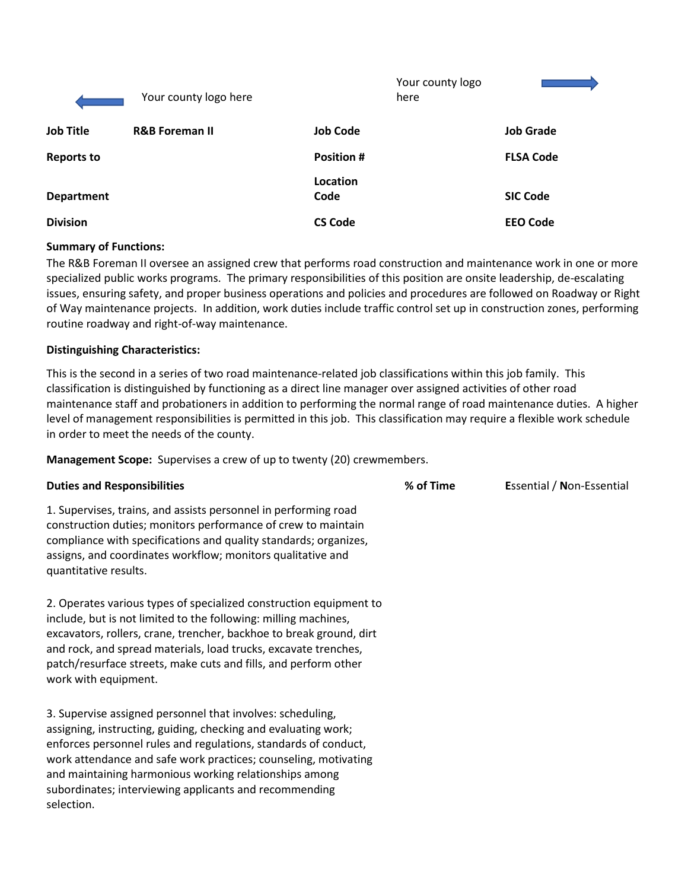|                   | Your county logo here     |                   | Your county logo<br>here |                  |
|-------------------|---------------------------|-------------------|--------------------------|------------------|
| <b>Job Title</b>  | <b>R&amp;B Foreman II</b> | <b>Job Code</b>   |                          | <b>Job Grade</b> |
| <b>Reports to</b> |                           | <b>Position #</b> |                          | <b>FLSA Code</b> |
| <b>Department</b> |                           | Location<br>Code  |                          | <b>SIC Code</b>  |
| <b>Division</b>   |                           | <b>CS Code</b>    |                          | <b>EEO Code</b>  |

### **Summary of Functions:**

The R&B Foreman II oversee an assigned crew that performs road construction and maintenance work in one or more specialized public works programs. The primary responsibilities of this position are onsite leadership, de-escalating issues, ensuring safety, and proper business operations and policies and procedures are followed on Roadway or Right of Way maintenance projects. In addition, work duties include traffic control set up in construction zones, performing routine roadway and right-of-way maintenance.

### **Distinguishing Characteristics:**

work with equipment.

This is the second in a series of two road maintenance-related job classifications within this job family. This classification is distinguished by functioning as a direct line manager over assigned activities of other road maintenance staff and probationers in addition to performing the normal range of road maintenance duties. A higher level of management responsibilities is permitted in this job. This classification may require a flexible work schedule in order to meet the needs of the county.

**Management Scope:** Supervises a crew of up to twenty (20) crewmembers.

| <b>Duties and Responsibilities</b>                                                                                                                                                                                                                                                           | % of Time | <b>Essential / Non-Essential</b> |
|----------------------------------------------------------------------------------------------------------------------------------------------------------------------------------------------------------------------------------------------------------------------------------------------|-----------|----------------------------------|
| 1. Supervises, trains, and assists personnel in performing road<br>construction duties; monitors performance of crew to maintain<br>compliance with specifications and quality standards; organizes,<br>assigns, and coordinates workflow; monitors qualitative and<br>quantitative results. |           |                                  |
| 2. Operates various types of specialized construction equipment to<br>include, but is not limited to the following: milling machines,<br>excavators, rollers, crane, trencher, backhoe to break ground, dirt<br>and rock, and spread materials, load trucks, excavate trenches,              |           |                                  |

3. Supervise assigned personnel that involves: scheduling, assigning, instructing, guiding, checking and evaluating work; enforces personnel rules and regulations, standards of conduct, work attendance and safe work practices; counseling, motivating and maintaining harmonious working relationships among subordinates; interviewing applicants and recommending selection.

patch/resurface streets, make cuts and fills, and perform other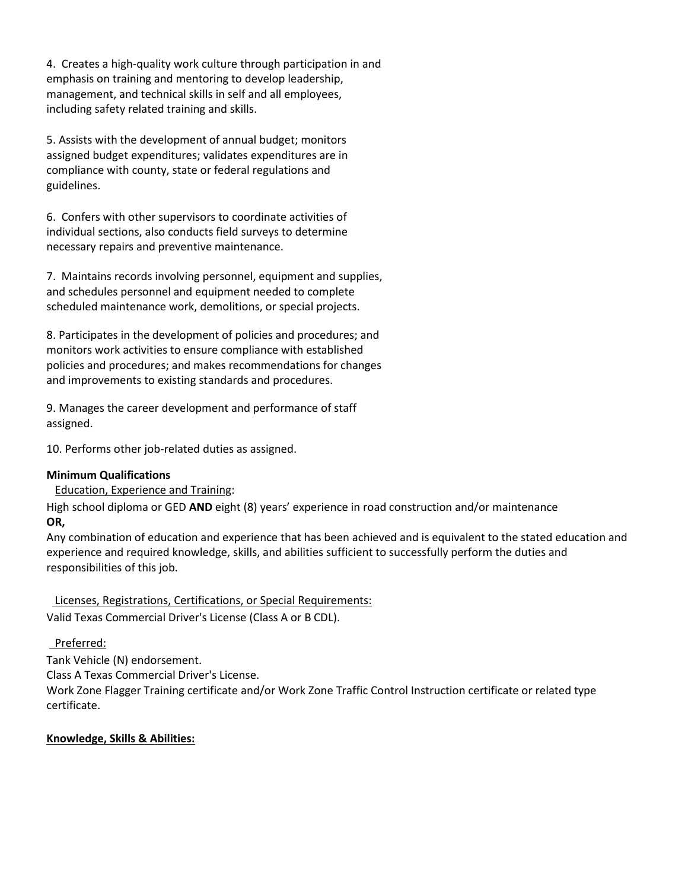4. Creates a high-quality work culture through participation in and emphasis on training and mentoring to develop leadership, management, and technical skills in self and all employees, including safety related training and skills.

5. Assists with the development of annual budget; monitors assigned budget expenditures; validates expenditures are in compliance with county, state or federal regulations and guidelines.

6. Confers with other supervisors to coordinate activities of individual sections, also conducts field surveys to determine necessary repairs and preventive maintenance.

7. Maintains records involving personnel, equipment and supplies, and schedules personnel and equipment needed to complete scheduled maintenance work, demolitions, or special projects.

8. Participates in the development of policies and procedures; and monitors work activities to ensure compliance with established policies and procedures; and makes recommendations for changes and improvements to existing standards and procedures.

9. Manages the career development and performance of staff assigned.

10. Performs other job-related duties as assigned.

# **Minimum Qualifications**

Education, Experience and Training:

High school diploma or GED **AND** eight (8) years' experience in road construction and/or maintenance **OR,**

Any combination of education and experience that has been achieved and is equivalent to the stated education and experience and required knowledge, skills, and abilities sufficient to successfully perform the duties and responsibilities of this job.

 Licenses, Registrations, Certifications, or Special Requirements: Valid Texas Commercial Driver's License (Class A or B CDL).

# Preferred:

Tank Vehicle (N) endorsement.

Class A Texas Commercial Driver's License.

Work Zone Flagger Training certificate and/or Work Zone Traffic Control Instruction certificate or related type certificate.

# **Knowledge, Skills & Abilities:**